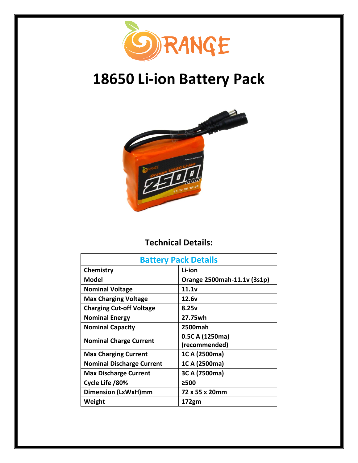

# **18650 Li-ion Battery Pack**



## **Technical Details:**

| <b>Battery Pack Details</b>      |                             |
|----------------------------------|-----------------------------|
| Chemistry                        | Li-ion                      |
| Model                            | Orange 2500mah-11.1v (3s1p) |
| <b>Nominal Voltage</b>           | 11.1v                       |
| <b>Max Charging Voltage</b>      | 12.6v                       |
| <b>Charging Cut-off Voltage</b>  | 8.25v                       |
| <b>Nominal Energy</b>            | 27.75wh                     |
| <b>Nominal Capacity</b>          | <b>2500mah</b>              |
| <b>Nominal Charge Current</b>    | 0.5C A (1250ma)             |
|                                  | (recommended)               |
| <b>Max Charging Current</b>      | 1C A (2500ma)               |
| <b>Nominal Discharge Current</b> | 1C A (2500ma)               |
| <b>Max Discharge Current</b>     | 3C A (7500ma)               |
| Cycle Life /80%                  | ≥500                        |
| <b>Dimension (LxWxH)mm</b>       | 72 x 55 x 20mm              |
| Weight                           | 172gm                       |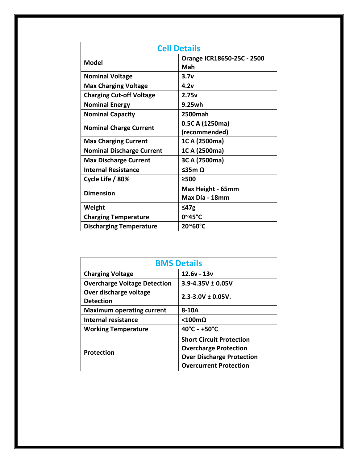| <b>Cell Details</b>              |                                     |
|----------------------------------|-------------------------------------|
| <b>Model</b>                     | Orange ICR18650-25C - 2500<br>Mah   |
| <b>Nominal Voltage</b>           | 3.7v                                |
| <b>Max Charging Voltage</b>      | 4.2v                                |
| <b>Charging Cut-off Voltage</b>  | 2.75v                               |
| <b>Nominal Energy</b>            | 9.25wh                              |
| <b>Nominal Capacity</b>          | <b>2500mah</b>                      |
| <b>Nominal Charge Current</b>    | 0.5C A (1250ma)<br>(recommended)    |
| <b>Max Charging Current</b>      | 1C A (2500ma)                       |
| <b>Nominal Discharge Current</b> | 1C A (2500ma)                       |
| <b>Max Discharge Current</b>     | 3C A (7500ma)                       |
| <b>Internal Resistance</b>       | $535m$ $\Omega$                     |
| Cycle Life / 80%                 | >500                                |
| <b>Dimension</b>                 | Max Height - 65mm<br>Max Día - 18mm |
| Weight                           | ≤47 $g$                             |
| <b>Charging Temperature</b>      | 0~45°C                              |
| <b>Discharging Temperature</b>   | 20~60°C                             |

| <b>BMS Details</b>                         |                                                                                                                                      |  |
|--------------------------------------------|--------------------------------------------------------------------------------------------------------------------------------------|--|
| <b>Charging Voltage</b>                    | $12.6v - 13v$                                                                                                                        |  |
| <b>Overcharge Voltage Detection</b>        | $3.9 - 4.35V \pm 0.05V$                                                                                                              |  |
| Over discharge voltage<br><b>Detection</b> | $2.3 - 3.0V \pm 0.05V$ .                                                                                                             |  |
| <b>Maximum operating current</b>           | 8-10A                                                                                                                                |  |
| Internal resistance                        | $< 100 \text{m}\Omega$                                                                                                               |  |
| <b>Working Temperature</b>                 | $40^{\circ}$ C ~ +50 $^{\circ}$ C                                                                                                    |  |
| <b>Protection</b>                          | <b>Short Circuit Protection</b><br><b>Overcharge Protection</b><br><b>Over Discharge Protection</b><br><b>Overcurrent Protection</b> |  |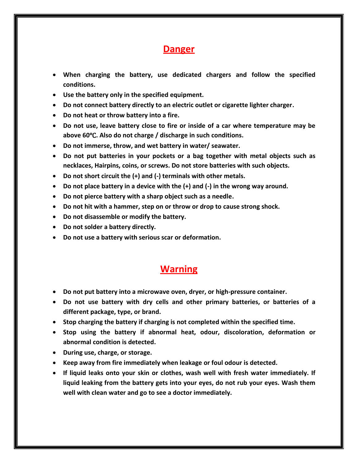## **Danger**

- **When charging the battery, use dedicated chargers and follow the specified conditions.**
- **Use the battery only in the specified equipment.**
- **Do not connect battery directly to an electric outlet or cigarette lighter charger.**
- **Do not heat or throw battery into a fire.**
- **Do not use, leave battery close to fire or inside of a car where temperature may be above 60**℃**. Also do not charge / discharge in such conditions.**
- **Do not immerse, throw, and wet battery in water/ seawater.**
- **Do not put batteries in your pockets or a bag together with metal objects such as necklaces, Hairpins, coins, or screws. Do not store batteries with such objects.**
- **Do not short circuit the (+) and (-) terminals with other metals.**
- **Do not place battery in a device with the (+) and (-) in the wrong way around.**
- **Do not pierce battery with a sharp object such as a needle.**
- **Do not hit with a hammer, step on or throw or drop to cause strong shock.**
- **Do not disassemble or modify the battery.**
- **Do not solder a battery directly.**
- **Do not use a battery with serious scar or deformation.**

#### **Warning**

- **Do not put battery into a microwave oven, dryer, or high-pressure container.**
- **Do not use battery with dry cells and other primary batteries, or batteries of a different package, type, or brand.**
- **Stop charging the battery if charging is not completed within the specified time.**
- **Stop using the battery if abnormal heat, odour, discoloration, deformation or abnormal condition is detected.**
- **During use, charge, or storage.**
- **Keep away from fire immediately when leakage or foul odour is detected.**
- **If liquid leaks onto your skin or clothes, wash well with fresh water immediately. If liquid leaking from the battery gets into your eyes, do not rub your eyes. Wash them well with clean water and go to see a doctor immediately.**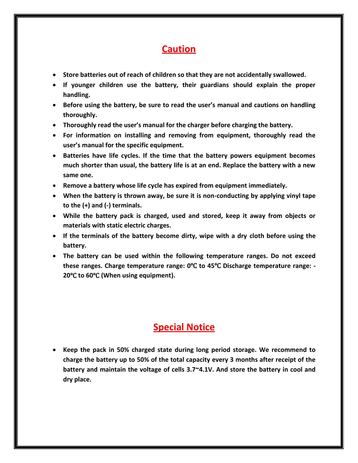# **Caution**

- **Store batteries out of reach of children so that they are not accidentally swallowed.**
- **If younger children use the battery, their guardians should explain the proper handling.**
- **Before using the battery, be sure to read the user's manual and cautions on handling thoroughly.**
- **Thoroughly read the user's manual for the charger before charging the battery.**
- **For information on installing and removing from equipment, thoroughly read the user's manual for the specific equipment.**
- **Batteries have life cycles. If the time that the battery powers equipment becomes much shorter than usual, the battery life is at an end. Replace the battery with a new same one.**
- **Remove a battery whose life cycle has expired from equipment immediately.**
- **When the battery is thrown away, be sure it is non-conducting by applying vinyl tape to the (+) and (-) terminals.**
- **While the battery pack is charged, used and stored, keep it away from objects or materials with static electric charges.**
- **If the terminals of the battery become dirty, wipe with a dry cloth before using the battery.**
- **The battery can be used within the following temperature ranges. Do not exceed these ranges. Charge temperature range: 0**℃ **to 45**℃ **Discharge temperature range: - 20**℃ **to 60**℃ **(When using equipment).**

# **Special Notice**

• **Keep the pack in 50% charged state during long period storage. We recommend to charge the battery up to 50% of the total capacity every 3 months after receipt of the battery and maintain the voltage of cells 3.7~4.1V. And store the battery in cool and dry place.**